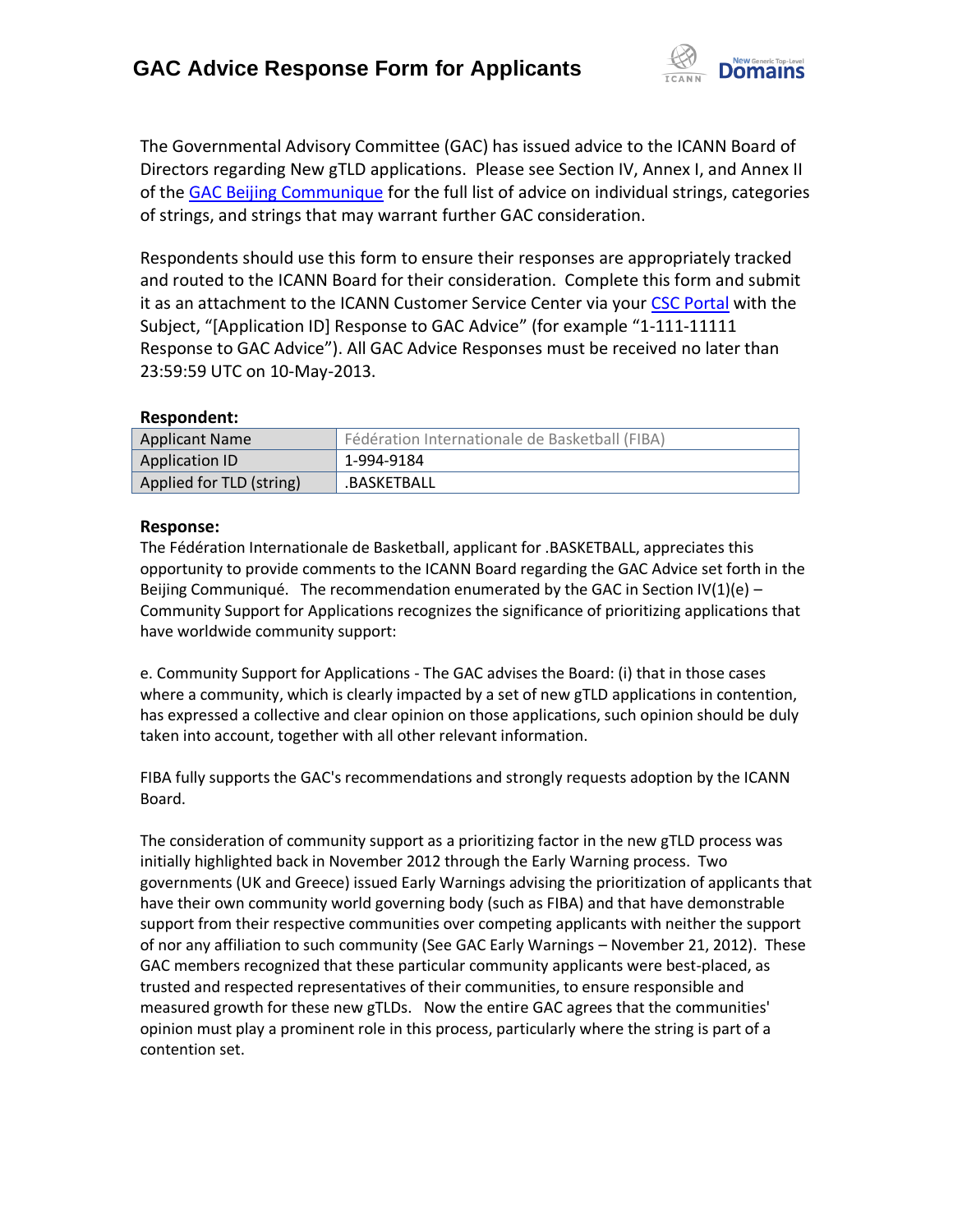

The Governmental Advisory Committee (GAC) has issued advice to the ICANN Board of Directors regarding New gTLD applications. Please see Section IV, Annex I, and Annex II of the [GAC Beijing Communique](http://www.icann.org/en/news/correspondence/gac-to-board-18apr13-en.pdf) for the full list of advice on individual strings, categories of strings, and strings that may warrant further GAC consideration.

Respondents should use this form to ensure their responses are appropriately tracked and routed to the ICANN Board for their consideration. Complete this form and submit it as an attachment to the ICANN Customer Service Center via your CSC [Portal](https://myicann.secure.force.com/) with the Subject, "[Application ID] Response to GAC Advice" (for example "1-111-11111 Response to GAC Advice"). All GAC Advice Responses must be received no later than 23:59:59 UTC on 10-May-2013.

## **Respondent:**

| <b>Applicant Name</b>    | Fédération Internationale de Basketball (FIBA) |
|--------------------------|------------------------------------------------|
| Application ID           | 1-994-9184                                     |
| Applied for TLD (string) | .BASKETBALL                                    |

## **Response:**

The Fédération Internationale de Basketball, applicant for .BASKETBALL, appreciates this opportunity to provide comments to the ICANN Board regarding the GAC Advice set forth in the Beijing Communiqué. The recommendation enumerated by the GAC in Section  $\text{IV}(1)(\text{e})$  -Community Support for Applications recognizes the significance of prioritizing applications that have worldwide community support:

e. Community Support for Applications - The GAC advises the Board: (i) that in those cases where a community, which is clearly impacted by a set of new gTLD applications in contention, has expressed a collective and clear opinion on those applications, such opinion should be duly taken into account, together with all other relevant information.

FIBA fully supports the GAC's recommendations and strongly requests adoption by the ICANN Board.

The consideration of community support as a prioritizing factor in the new gTLD process was initially highlighted back in November 2012 through the Early Warning process. Two governments (UK and Greece) issued Early Warnings advising the prioritization of applicants that have their own community world governing body (such as FIBA) and that have demonstrable support from their respective communities over competing applicants with neither the support of nor any affiliation to such community (See GAC Early Warnings – November 21, 2012). These GAC members recognized that these particular community applicants were best-placed, as trusted and respected representatives of their communities, to ensure responsible and measured growth for these new gTLDs. Now the entire GAC agrees that the communities' opinion must play a prominent role in this process, particularly where the string is part of a contention set.